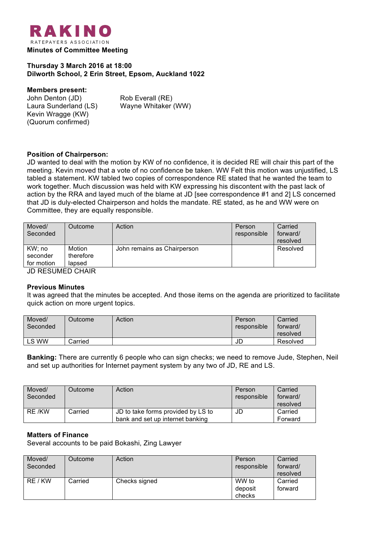

**Thursday 3 March 2016 at 18:00 Dilworth School, 2 Erin Street, Epsom, Auckland 1022**

### **Members present:**

| John Denton (JD)      |  |
|-----------------------|--|
| Laura Sunderland (LS) |  |
| Kevin Wragge (KW)     |  |
| (Quorum confirmed)    |  |

Rob Everall (RE) Wayne Whitaker (WW)

# **Position of Chairperson:**

JD wanted to deal with the motion by KW of no confidence, it is decided RE will chair this part of the meeting. Kevin moved that a vote of no confidence be taken. WW Felt this motion was unjustified, LS tabled a statement. KW tabled two copies of correspondence RE stated that he wanted the team to work together. Much discussion was held with KW expressing his discontent with the past lack of action by the RRA and layed much of the blame at JD [see correspondence #1 and 2] LS concerned that JD is duly-elected Chairperson and holds the mandate. RE stated, as he and WW were on Committee, they are equally responsible.

| Moved/<br>Seconded | Outcome             | Action                      | Person<br>responsible | Carried<br>forward/<br>resolved |  |
|--------------------|---------------------|-----------------------------|-----------------------|---------------------------------|--|
| KW;no<br>seconder  | Motion<br>therefore | John remains as Chairperson |                       | Resolved                        |  |
| for motion         | lapsed              |                             |                       |                                 |  |
| ID RESHMED CHAIR   |                     |                             |                       |                                 |  |

JD RESUMED CHAIR

#### **Previous Minutes**

It was agreed that the minutes be accepted. And those items on the agenda are prioritized to facilitate quick action on more urgent topics.

| Moved/<br>Seconded | <b>Dutcome</b> | Action | Person<br>responsible | Carried<br>forward/<br>resolved |
|--------------------|----------------|--------|-----------------------|---------------------------------|
| LS WW              | Carried        |        | JD                    | Resolved                        |

**Banking:** There are currently 6 people who can sign checks; we need to remove Jude, Stephen, Neil and set up authorities for Internet payment system by any two of JD, RE and LS.

| Moved/   | Outcome | Action                             | Person      | Carried  |
|----------|---------|------------------------------------|-------------|----------|
| Seconded |         |                                    | responsible | forward/ |
|          |         |                                    |             | resolved |
| RE /KW   | Carried | JD to take forms provided by LS to | JD          | Carried  |
|          |         | bank and set up internet banking   |             | Forward  |

### **Matters of Finance**

Several accounts to be paid Bokashi, Zing Lawyer

| Moved/<br>Seconded | Outcome | Action        | Person<br>responsible      | Carried<br>forward/<br>resolved |
|--------------------|---------|---------------|----------------------------|---------------------------------|
| RE / KW            | Carried | Checks signed | WW to<br>deposit<br>checks | Carried<br>forward              |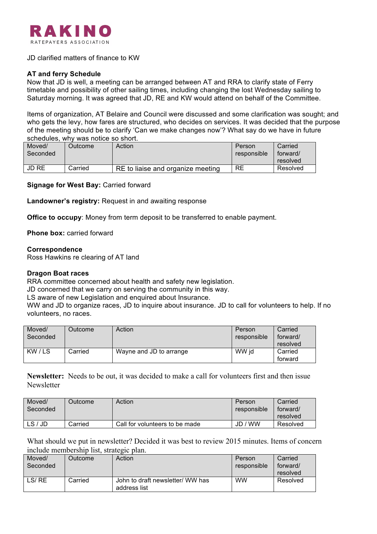

### JD clarified matters of finance to KW

# **AT and ferry Schedule**

Now that JD is well, a meeting can be arranged between AT and RRA to clarify state of Ferry timetable and possibility of other sailing times, including changing the lost Wednesday sailing to Saturday morning. It was agreed that JD, RE and KW would attend on behalf of the Committee.

Items of organization, AT Belaire and Council were discussed and some clarification was sought; and who gets the levy, how fares are structured, who decides on services. It was decided that the purpose of the meeting should be to clarify 'Can we make changes now'? What say do we have in future schedules, why was notice so short.

| Moved/<br>Seconded | Outcome | Action                            | Person<br>responsible | Carried<br>forward/<br>resolved |
|--------------------|---------|-----------------------------------|-----------------------|---------------------------------|
| JD RE              | Carried | RE to liaise and organize meeting | RE                    | Resolved                        |

**Signage for West Bay:** Carried forward

**Landowner's registry:** Request in and awaiting response

**Office to occupy**: Money from term deposit to be transferred to enable payment.

**Phone box:** carried forward

#### **Correspondence**

Ross Hawkins re clearing of AT land

#### **Dragon Boat races**

RRA committee concerned about health and safety new legislation.

JD concerned that we carry on serving the community in this way.

LS aware of new Legislation and enquired about Insurance.

WW and JD to organize races, JD to inquire about insurance. JD to call for volunteers to help. If no volunteers, no races.

| Moved/<br>Seconded | Outcome | Action                  | Person<br>responsible | Carried<br>forward/<br>resolved |
|--------------------|---------|-------------------------|-----------------------|---------------------------------|
| KW/LS              | Carried | Wayne and JD to arrange | WW id                 | Carried<br>forward              |

**Newsletter:** Needs to be out, it was decided to make a call for volunteers first and then issue **Newsletter** 

| Moved/<br>Seconded | Outcome | Action                         | Person<br>responsible | Carried<br>forward/ |
|--------------------|---------|--------------------------------|-----------------------|---------------------|
|                    |         |                                |                       | resolved            |
| LS/JD              | Carried | Call for volunteers to be made | / WW<br>JD            | Resolved            |

What should we put in newsletter? Decided it was best to review 2015 minutes. Items of concern include membership list, strategic plan.

| Moved/<br>Seconded | Outcome | Action                                           | Person<br>responsible | Carried<br>forward/<br>resolved |
|--------------------|---------|--------------------------------------------------|-----------------------|---------------------------------|
| LS/RE              | Carried | John to draft newsletter/ WW has<br>address list | <b>WW</b>             | Resolved                        |